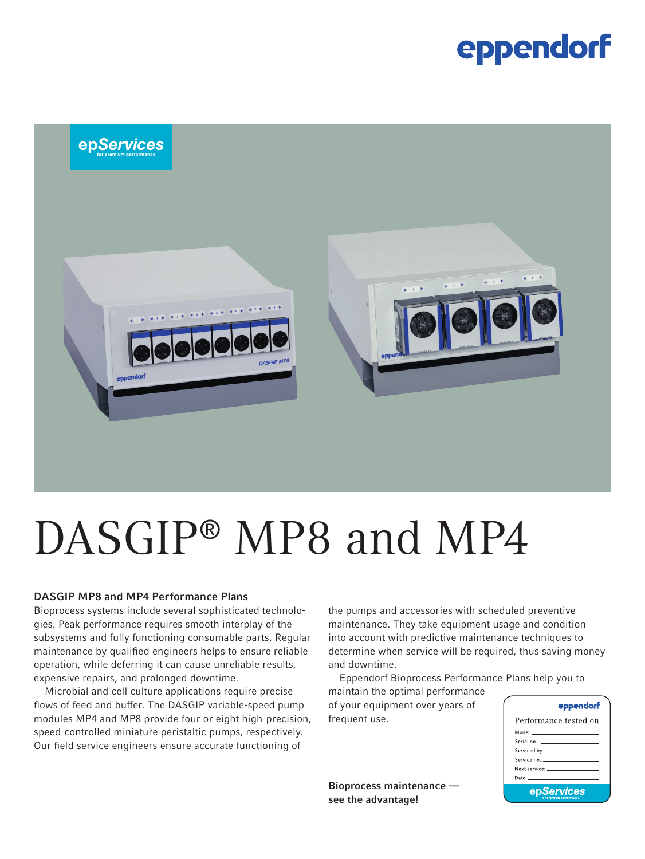### eppendorf



# DASGIP<sup>®</sup> MP8 and MP4

#### DASGIP MP8 and MP4 Performance Plans

Bioprocess systems include several sophisticated technologies. Peak performance requires smooth interplay of the subsystems and fully functioning consumable parts. Regular maintenance by qualified engineers helps to ensure reliable operation, while deferring it can cause unreliable results, expensive repairs, and prolonged downtime.

Microbial and cell culture applications require precise flows of feed and buffer. The DASGIP variable-speed pump modules MP4 and MP8 provide four or eight high-precision, speed-controlled miniature peristaltic pumps, respectively. Our field service engineers ensure accurate functioning of

the pumps and accessories with scheduled preventive maintenance. They take equipment usage and condition into account with predictive maintenance techniques to determine when service will be required, thus saving money and downtime.

Eppendorf Bioprocess Performance Plans help you to

maintain the optimal performance of your equipment over years of frequent use.

Bioprocess maintenance see the advantage!

|--|

| Performance tested on                                                                                                                                                                                                         |  |  |  |  |
|-------------------------------------------------------------------------------------------------------------------------------------------------------------------------------------------------------------------------------|--|--|--|--|
|                                                                                                                                                                                                                               |  |  |  |  |
|                                                                                                                                                                                                                               |  |  |  |  |
|                                                                                                                                                                                                                               |  |  |  |  |
|                                                                                                                                                                                                                               |  |  |  |  |
| Next service: The contract of the contract of the contract of the contract of the contract of the contract of the contract of the contract of the contract of the contract of the contract of the contract of the contract of |  |  |  |  |
| Date: _______________________                                                                                                                                                                                                 |  |  |  |  |
| epServices                                                                                                                                                                                                                    |  |  |  |  |